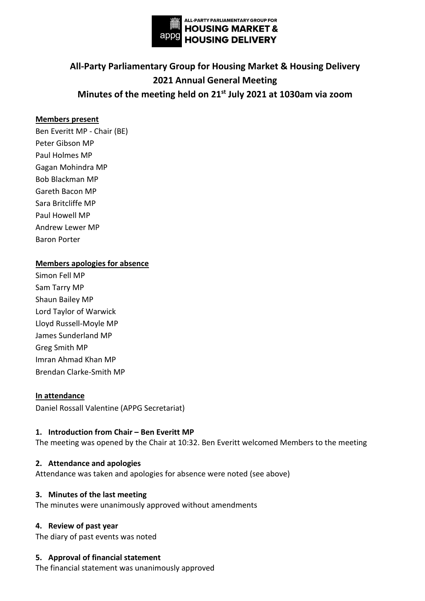

# **All-Party Parliamentary Group for Housing Market & Housing Delivery 2021 Annual General Meeting Minutes of the meeting held on 21st July 2021 at 1030am via zoom**

## **Members present**

Ben Everitt MP - Chair (BE) Peter Gibson MP Paul Holmes MP Gagan Mohindra MP Bob Blackman MP Gareth Bacon MP Sara Britcliffe MP Paul Howell MP Andrew Lewer MP Baron Porter

#### **Members apologies for absence**

Simon Fell MP Sam Tarry MP Shaun Bailey MP Lord Taylor of Warwick Lloyd Russell-Moyle MP James Sunderland MP Greg Smith MP Imran Ahmad Khan MP Brendan Clarke-Smith MP

#### **In attendance**

Daniel Rossall Valentine (APPG Secretariat)

#### 1. **Introduction from Chair - Ben Everitt MP**

The meeting was opened by the Chair at 10:32. Ben Everitt welcomed Members to the meeting

#### **2. Attendance and apologies**

Attendance was taken and apologies for absence were noted (see above)

#### **3. Minutes of the last meeting**

The minutes were unanimously approved without amendments

#### **4. Review of past year**

The diary of past events was noted

#### **5. Approval of financial statement**

The financial statement was unanimously approved